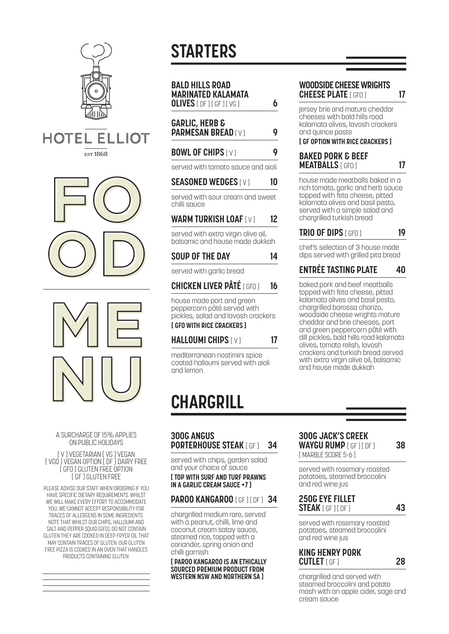

#### HOTEL  $FIIIOT$ **EST 1868**





#### A SURCHARGE OF 15% APPLIES ON PUBLIC HOLIDAYS

#### [ V ] VEGETARIAN [ VG ] VEGAN [ VGO ] VEGAN OPTION [ DF ] DAIRY FREE [ GFO ] GLUTEN FREE OPTION [ GF ] GLUTEN FREE

PLEASE ADVISE OUR STAFF WHEN ORDERING IF YOU HAVE SPECIFIC DIETARY REQUIREMENTS. WHILST WE WILL MAKE EVERY EFFORT TO ACCOMMODATE YOU, WE CANNOT ACCEPT RESPONSIBILITY FOR TRACES OF ALLERGENS IN SOME INGREDIENTS. NOTE THAT WHILST OUR CHIPS, HALLOUMI AND SALT AND PEPPER SOUID (GFO), DO NOT CONTAIN GLUTEN THEY ARE COOKED IN DEEP FRYER OIL THAT MAY CONTAIN TRACES OF GLUTEN. OUR GLUTEN FREE PIZZA IS COOKED IN AN OVEN THAT HANDLES PRODUCTS CONTAINING GLUTEN.

# **STARTERS**

| <b>BALD HILLS ROAD</b><br><b>MARINATED KALAMATA</b> |   |
|-----------------------------------------------------|---|
| <b>OLIVES</b> [ DF 1 [ GF 1 [ VG 1                  | 6 |
|                                                     |   |

## **GARLIC, HERB & PARMESAN BREAD** [ V ] **9**

### **BOWL OF CHIPS [ V ] 99**

served with tomato sauce and aioli

#### **SEASONED WEDGES** [ V ] **10**

served with sour cream and sweet chilli sauce

## **WARM TURKISH LOAF**[ V ] **12**

served with extra virgin olive oil, balsamic and house made dukkah

#### **SOUP OF THE DAY 14**

served with garlic bread

# **CHICKEN LIVER PÂTÉ** [ GFO ] **16**

house made port and green peppercorn pâté served with pickles, salad and lavosh crackers **[ GFO WITH RICE CRACKERS ]**

## **HALLOUMI CHIPS** [ V ] **17**

mediterranean nostimini spice coated halloumi served with aioli and lemon

# **CHARGRILL**

#### **300G ANGUS PORTERHOUSE STEAK** [ GF ] **34**

served with chips, garden salad and your choice of sauce **[ TOP WITH SURF AND TURF PRAWNS IN A GARLIC CREAM SAUCE +7 ]**

# **PAROO KANGAROO [ GF ] [ DF ] 34**

chargrilled medium rare, served with a peanut, chilli, lime and coconut cream satay sauce, steamed rice, topped with a coriander, spring onion and chilli garnish

**[ PAROO KANGAROO IS AN ETHICALLY SOURCED PREMIUM PRODUCT FROM WESTERN NSW AND NORTHERN SA ]**

#### **WOODSIDE CHEESE WRIGHTS CHEESE PLATE** [ GFO ] **17**

jersey brie and mature cheddar cheeses with bald hills road kalamata olives, lavosh crackers and quince paste

#### **[ GF OPTION WITH RICE CRACKERS ]**

#### **BAKED PORK & BEEF MEATBALLS** [ GFO ] **17**

house made meatballs baked in a rich tomato, garlic and herb sauce topped with feta cheese, pitted kalamata olives and basil pesto, served with a simple salad and chargrilled turkish bread

# **TRIO OF DIPS** [ GFO ] **19**

chef's selection of 3 house made dips served with grilled pita bread

# **ENTRÉE TASTING PLATE 40**

baked pork and beef meatballs topped with feta cheese, pitted kalamata olives and basil pesto, chargrilled barossa chorizo, woodside cheese wrights mature cheddar and brie cheeses, port and green peppercorn pâté with dill pickles, bald hills road kalamata olives, tomato relish, lavosh crackers and turkish bread served with extra virgin olive oil, balsamic and house made dukkah

#### **300G JACK'S CREEK WAYGU RUMP** [ GF ] [ DF ] **38** [ MARBLE SCORE 5-6 ]

served with rosemary roasted potatoes, steamed broccolini and red wine jus

#### **250G EYE FILLET STEAK** [ GF ] [ DF ] **43**

served with rosemary roasted potatoes, steamed broccolini and red wine jus

## **KING HENRY PORK CUTLET** [ GF ] **28**

chargrilled and served with steamed broccolini and potato mash with an apple cider, sage and cream sauce